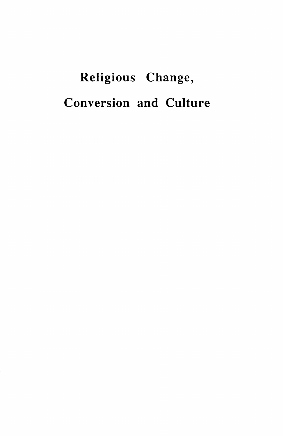## Religious Change, Conversion and Culture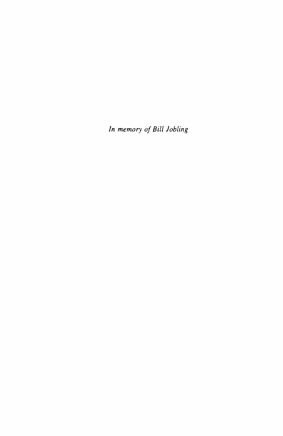*In memory of Bill Jobling*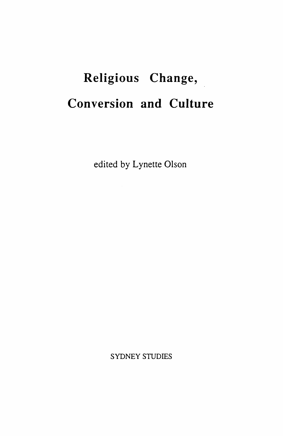## **Religious Change, Conversion and Culture**

edited by Lynette Olson

SYDNEY STUDIES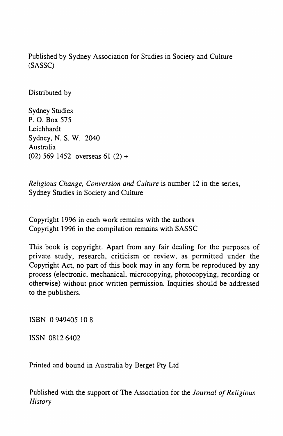Published by Sydney Association for Studies in Society and Culture (SASSC)

Distributed by

Sydney Studies P. 0. Box 575 Leichhardt Sydney, N. S. W. 2040 Australia (02) 569 1452 overseas 61 (2) +

*Religious Change, Conversion and Culture* is number 12 in the series, Sydney Studies in Society and Culture

Copyright 1996 in each work remains with the authors Copyright 1996 in the compilation remains with SASSC

This book is copyright. Apart from any fair dealing for the purposes of private study, research, criticism or review, as permitted under the Copyright Act, no part of this book may in any form be reproduced by any process (electronic, mechanical, microcopying, photocopying, recording or otherwise) without prior written permission. Inquiries should be addressed to the publishers.

ISBN 0 949405 10 8

ISSN 0812 6402

Printed and bound in Australia by Berget Pty Ltd

Published with the support of The Association for the *Journal of Religious History*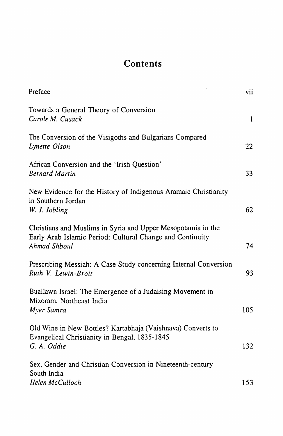## **Contents**

| Preface                                                                                                                                   | vii          |
|-------------------------------------------------------------------------------------------------------------------------------------------|--------------|
| Towards a General Theory of Conversion<br>Carole M. Cusack                                                                                | $\mathbf{1}$ |
| The Conversion of the Visigoths and Bulgarians Compared<br>Lynette Olson                                                                  | 22           |
| African Conversion and the 'Irish Question'<br><b>Bernard Martin</b>                                                                      | 33           |
| New Evidence for the History of Indigenous Aramaic Christianity<br>in Southern Jordan<br>W. J. Jobling                                    | 62           |
| Christians and Muslims in Syria and Upper Mesopotamia in the<br>Early Arab Islamic Period: Cultural Change and Continuity<br>Ahmad Shboul | 74           |
| Prescribing Messiah: A Case Study concerning Internal Conversion<br>Ruth V. Lewin-Broit                                                   | 93           |
| Buallawn Israel: The Emergence of a Judaising Movement in<br>Mizoram, Northeast India<br>Myer Samra                                       | 105          |
| Old Wine in New Bottles? Kartabhaja (Vaishnava) Converts to<br>Evangelical Christianity in Bengal, 1835-1845<br>G. A. Oddie               | 132          |
| Sex, Gender and Christian Conversion in Nineteenth-century<br>South India<br>Helen McCulloch                                              | 153          |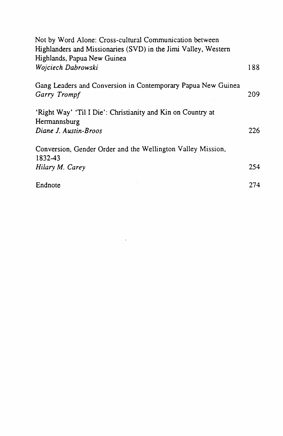| Not by Word Alone: Cross-cultural Communication between<br>Highlanders and Missionaries (SVD) in the Jimi Valley, Western |     |
|---------------------------------------------------------------------------------------------------------------------------|-----|
| Highlands, Papua New Guinea                                                                                               |     |
| Wojciech Dabrowski                                                                                                        | 188 |
| Gang Leaders and Conversion in Contemporary Papua New Guinea<br>Garry Trompf                                              | 209 |
| 'Right Way' 'Til I Die': Christianity and Kin on Country at                                                               |     |
| Hermannsburg<br>Diane J. Austin-Broos                                                                                     | 226 |
| Conversion, Gender Order and the Wellington Valley Mission,<br>1832-43                                                    |     |
| Hilary M. Carey                                                                                                           | 254 |
| Endnote                                                                                                                   | 274 |

 $\mathcal{L}^{\text{max}}_{\text{max}}$  and  $\mathcal{L}^{\text{max}}_{\text{max}}$